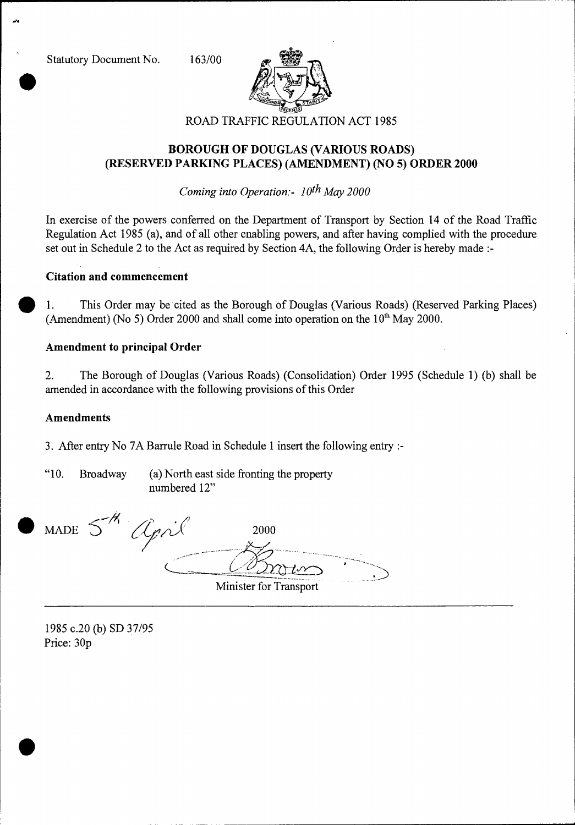Statutory Document No. 163/00

 $\bullet$ 



# **BOROUGH OF DOUGLAS (VARIOUS ROADS) (RESERVED PARKING PLACES) (AMENDMENT) (NO 5) ORDER 2000**

*Coming into Operation:- 10th May 2000* 

In exercise of the powers conferred on the Department of Transport by Section 14 of the Road Traffic Regulation Act 1985 (a), and of all other enabling powers, and after having complied with the procedure set out in Schedule 2 to the Act as required by Section 4A, the following Order is hereby made :-

### **Citation and commencement**

• 1. This Order may be cited as the Borough of Douglas (Various Roads) (Reserved Parking Places) (Amendment) (No 5) Order 2000 and shall come into operation on the  $10<sup>th</sup>$  May 2000.

### **Amendment to principal Order**

2. The Borough of Douglas (Various Roads) (Consolidation) Order 1995 (Schedule 1) (b) shall be amended in accordance with the following provisions of this Order

#### **Amendments**

3. After entry No 7A Barrule Road in Schedule 1 insert the following entry :-

"10. Broadway (a) North east side fronting the property numbered 12"

MADE  $5'$ 

•

" April 2000 ^,•

Minister for Transport

1985 c.20 (b) SD 37/95 Price: 30p